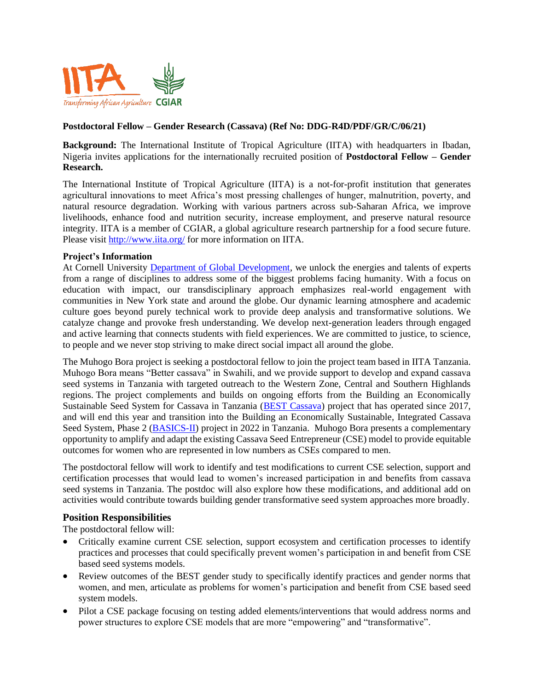

# **Postdoctoral Fellow – Gender Research (Cassava) (Ref No: DDG-R4D/PDF/GR/C/06/21)**

**Background:** The International Institute of Tropical Agriculture (IITA) with headquarters in Ibadan, Nigeria invites applications for the internationally recruited position of **Postdoctoral Fellow – Gender Research.**

The International Institute of Tropical Agriculture (IITA) is a not-for-profit institution that generates agricultural innovations to meet Africa's most pressing challenges of hunger, malnutrition, poverty, and natural resource degradation. Working with various partners across sub-Saharan Africa, we improve livelihoods, enhance food and nutrition security, increase employment, and preserve natural resource integrity. IITA is a member of CGIAR, a global agriculture research partnership for a food secure future. Please visit <http://www.iita.org/> for more information on IITA.

# **Project's Information**

At Cornell University [Department of Global Development,](https://cals.cornell.edu/global-development) we unlock the energies and talents of experts from a range of disciplines to address some of the biggest problems facing humanity. With a focus on education with impact, our transdisciplinary approach emphasizes real-world engagement with communities in New York state and around the globe. Our dynamic learning atmosphere and academic culture goes beyond purely technical work to provide deep analysis and transformative solutions. We catalyze change and provoke fresh understanding. We develop next-generation leaders through engaged and active learning that connects students with field experiences. We are committed to justice, to science, to people and we never stop striving to make direct social impact all around the globe.

The Muhogo Bora project is seeking a postdoctoral fellow to join the project team based in IITA Tanzania. Muhogo Bora means "Better cassava" in Swahili, and we provide support to develop and expand cassava seed systems in Tanzania with targeted outreach to the Western Zone, Central and Southern Highlands regions. The project complements and builds on ongoing efforts from the Building an Economically Sustainable Seed System for Cassava in Tanzania [\(BEST Cassava\)](https://www.meda.org/market-systems-projects/576-tanzania-building-an-economically-sustainable-seed-system-for-cassava-in-tanzania-best-cassava) project that has operated since 2017, and will end this year and transition into the Building an Economically Sustainable, Integrated Cassava Seed System, Phase 2 [\(BASICS-II\)](https://cassavamatters.org/basics-ii/) project in 2022 in Tanzania. Muhogo Bora presents a complementary opportunity to amplify and adapt the existing Cassava Seed Entrepreneur (CSE) model to provide equitable outcomes for women who are represented in low numbers as CSEs compared to men.

The postdoctoral fellow will work to identify and test modifications to current CSE selection, support and certification processes that would lead to women's increased participation in and benefits from cassava seed systems in Tanzania. The postdoc will also explore how these modifications, and additional add on activities would contribute towards building gender transformative seed system approaches more broadly.

# **Position Responsibilities**

The postdoctoral fellow will:

- Critically examine current CSE selection, support ecosystem and certification processes to identify practices and processes that could specifically prevent women's participation in and benefit from CSE based seed systems models.
- Review outcomes of the BEST gender study to specifically identify practices and gender norms that women, and men, articulate as problems for women's participation and benefit from CSE based seed system models.
- Pilot a CSE package focusing on testing added elements/interventions that would address norms and power structures to explore CSE models that are more "empowering" and "transformative".